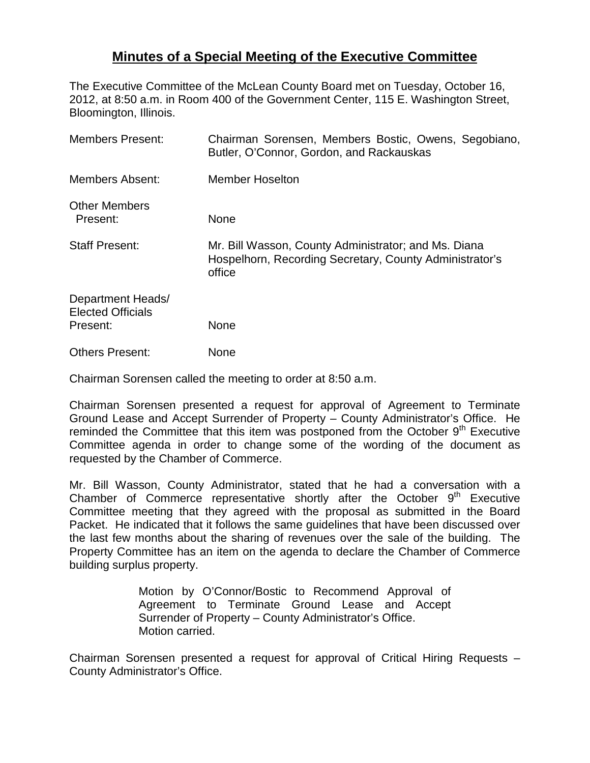## **Minutes of a Special Meeting of the Executive Committee**

The Executive Committee of the McLean County Board met on Tuesday, October 16, 2012, at 8:50 a.m. in Room 400 of the Government Center, 115 E. Washington Street, Bloomington, Illinois.

| <b>Members Present:</b>                                   | Chairman Sorensen, Members Bostic, Owens, Segobiano,<br>Butler, O'Connor, Gordon, and Rackauskas                          |
|-----------------------------------------------------------|---------------------------------------------------------------------------------------------------------------------------|
| Members Absent:                                           | <b>Member Hoselton</b>                                                                                                    |
| <b>Other Members</b><br>Present:                          | None                                                                                                                      |
| <b>Staff Present:</b>                                     | Mr. Bill Wasson, County Administrator; and Ms. Diana<br>Hospelhorn, Recording Secretary, County Administrator's<br>office |
| Department Heads/<br><b>Elected Officials</b><br>Present: | <b>None</b>                                                                                                               |
| <b>Others Present:</b>                                    | None                                                                                                                      |

Chairman Sorensen called the meeting to order at 8:50 a.m.

Chairman Sorensen presented a request for approval of Agreement to Terminate Ground Lease and Accept Surrender of Property – County Administrator's Office. He reminded the Committee that this item was postponed from the October  $9<sup>th</sup>$  Executive Committee agenda in order to change some of the wording of the document as requested by the Chamber of Commerce.

Mr. Bill Wasson, County Administrator, stated that he had a conversation with a Chamber of Commerce representative shortly after the October  $9<sup>th</sup>$  Executive Committee meeting that they agreed with the proposal as submitted in the Board Packet. He indicated that it follows the same guidelines that have been discussed over the last few months about the sharing of revenues over the sale of the building. The Property Committee has an item on the agenda to declare the Chamber of Commerce building surplus property.

> Motion by O'Connor/Bostic to Recommend Approval of Agreement to Terminate Ground Lease and Accept Surrender of Property – County Administrator's Office. Motion carried.

Chairman Sorensen presented a request for approval of Critical Hiring Requests – County Administrator's Office.